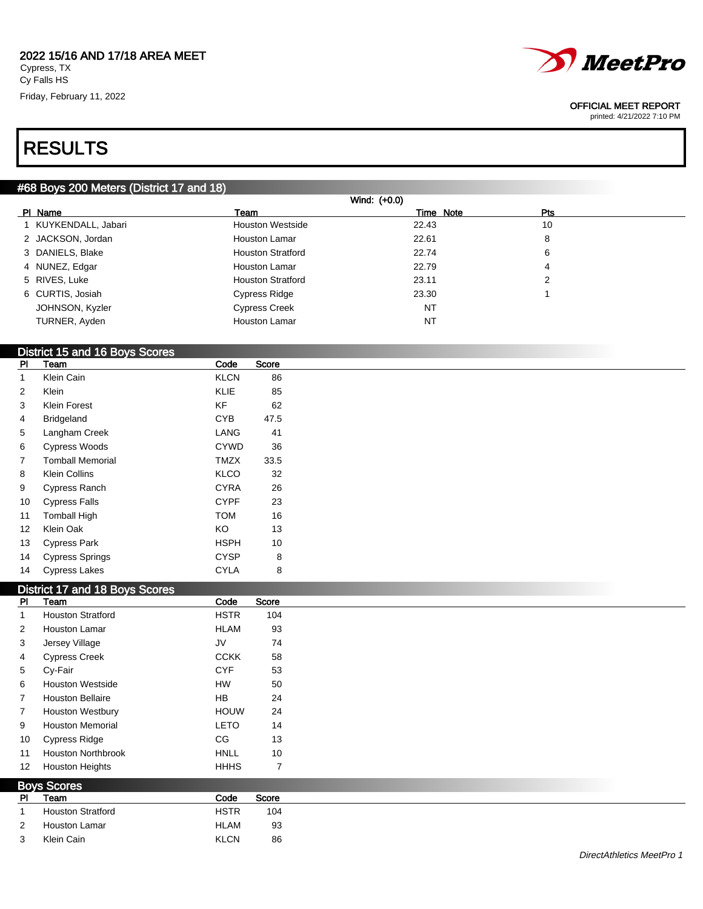

#### OFFICIAL MEET REPORT

printed: 4/21/2022 7:10 PM

# RESULTS

### #68 Boys 200 Meters (District 17 and 18)

| Wind: (+0.0)         |                          |           |            |  |  |  |  |  |  |
|----------------------|--------------------------|-----------|------------|--|--|--|--|--|--|
| PI Name              | Team                     | Time Note | <b>Pts</b> |  |  |  |  |  |  |
| 1 KUYKENDALL, Jabari | <b>Houston Westside</b>  | 22.43     | 10         |  |  |  |  |  |  |
| 2 JACKSON, Jordan    | Houston Lamar            | 22.61     | 8          |  |  |  |  |  |  |
| 3 DANIELS, Blake     | <b>Houston Stratford</b> | 22.74     | 6          |  |  |  |  |  |  |
| 4 NUNEZ, Edgar       | <b>Houston Lamar</b>     | 22.79     | 4          |  |  |  |  |  |  |
| 5 RIVES, Luke        | <b>Houston Stratford</b> | 23.11     | 2          |  |  |  |  |  |  |
| 6 CURTIS, Josiah     | Cypress Ridge            | 23.30     |            |  |  |  |  |  |  |
| JOHNSON, Kyzler      | <b>Cypress Creek</b>     | <b>NT</b> |            |  |  |  |  |  |  |
| TURNER, Ayden        | <b>Houston Lamar</b>     | <b>NT</b> |            |  |  |  |  |  |  |

## District 15 and 16 Boys Scores

| PI | Team                    | Code        | Score |
|----|-------------------------|-------------|-------|
| 1  | Klein Cain              | <b>KLCN</b> | 86    |
| 2  | Klein                   | KLIE        | 85    |
| 3  | Klein Forest            | ΚF          | 62    |
| 4  | <b>Bridgeland</b>       | CYB         | 47.5  |
| 5  | Langham Creek           | LANG        | 41    |
| 6  | <b>Cypress Woods</b>    | <b>CYWD</b> | 36    |
| 7  | <b>Tomball Memorial</b> | <b>TMZX</b> | 33.5  |
| 8  | <b>Klein Collins</b>    | KLCO        | 32    |
| 9  | Cypress Ranch           | CYRA        | 26    |
| 10 | <b>Cypress Falls</b>    | <b>CYPF</b> | 23    |
| 11 | <b>Tomball High</b>     | <b>TOM</b>  | 16    |
| 12 | Klein Oak               | ΚO          | 13    |
| 13 | <b>Cypress Park</b>     | HSPH        | 10    |
| 14 | <b>Cypress Springs</b>  | CYSP        | 8     |
| 14 | <b>Cypress Lakes</b>    | CYLA        | 8     |

### District 17 and 18 Boys Scores

|                 | <b>DISTING IT AIR TO DUYS OUTES</b> |             |                |
|-----------------|-------------------------------------|-------------|----------------|
| PI              | Team                                | Code        | Score          |
|                 | <b>Houston Stratford</b>            | <b>HSTR</b> | 104            |
| 2               | <b>Houston Lamar</b>                | <b>HLAM</b> | 93             |
| 3               | Jersey Village                      | JV          | 74             |
| 4               | <b>Cypress Creek</b>                | <b>CCKK</b> | 58             |
| 5               | Cy-Fair                             | <b>CYF</b>  | 53             |
| 6               | <b>Houston Westside</b>             | HW          | 50             |
| 7               | <b>Houston Bellaire</b>             | HB          | 24             |
| $\overline{7}$  | <b>Houston Westbury</b>             | <b>HOUW</b> | 24             |
| 9               | <b>Houston Memorial</b>             | <b>LETO</b> | 14             |
| 10              | <b>Cypress Ridge</b>                | CG          | 13             |
| 11              | <b>Houston Northbrook</b>           | <b>HNLL</b> | 10             |
| 12 <sup>°</sup> | <b>Houston Heights</b>              | <b>HHHS</b> | $\overline{7}$ |
|                 | <b>Boys Scores</b>                  |             |                |
| <b>PI</b>       | Team                                | Code        | Score          |
| 1               | <b>Houston Stratford</b>            | <b>HSTR</b> | 104            |
| 2               | <b>Houston Lamar</b>                | <b>HLAM</b> | 93             |
| 3               | Klein Cain                          | <b>KLCN</b> | 86             |